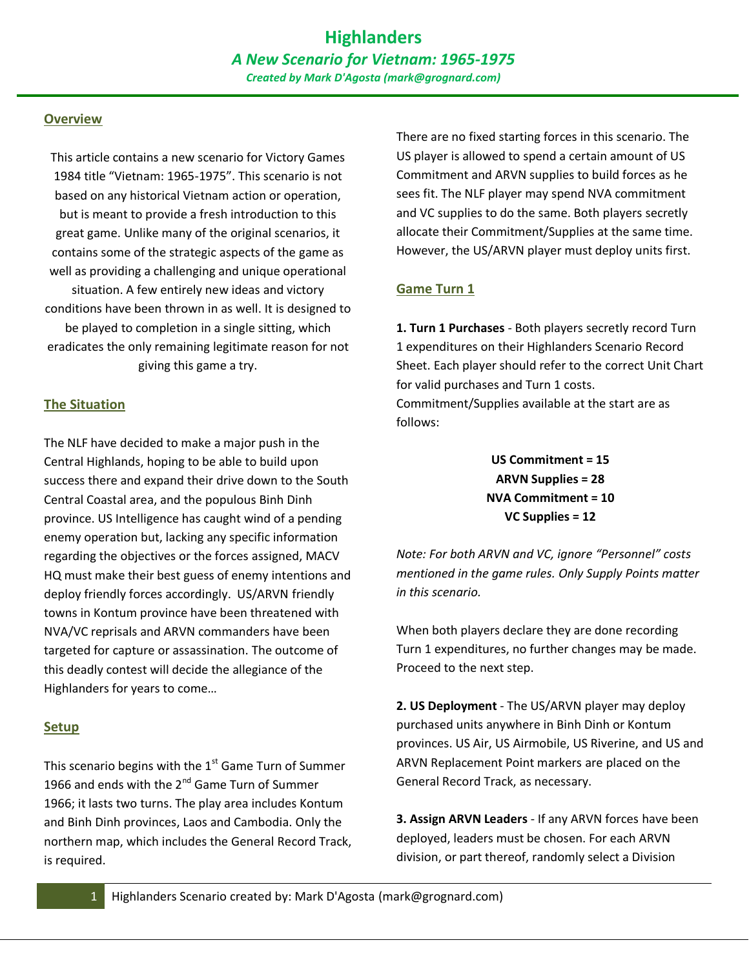#### **Overview**

This article contains a new scenario for Victory Games 1984 title "Vietnam: 1965-1975". This scenario is not based on any historical Vietnam action or operation, but is meant to provide a fresh introduction to this great game. Unlike many of the original scenarios, it contains some of the strategic aspects of the game as well as providing a challenging and unique operational situation. A few entirely new ideas and victory conditions have been thrown in as well. It is designed to be played to completion in a single sitting, which eradicates the only remaining legitimate reason for not giving this game a try.

#### **The Situation**

The NLF have decided to make a major push in the Central Highlands, hoping to be able to build upon success there and expand their drive down to the South Central Coastal area, and the populous Binh Dinh province. US Intelligence has caught wind of a pending enemy operation but, lacking any specific information regarding the objectives or the forces assigned, MACV HQ must make their best guess of enemy intentions and deploy friendly forces accordingly. US/ARVN friendly towns in Kontum province have been threatened with NVA/VC reprisals and ARVN commanders have been targeted for capture or assassination. The outcome of this deadly contest will decide the allegiance of the Highlanders for years to come…

#### **Setup**

This scenario begins with the  $1<sup>st</sup>$  Game Turn of Summer 1966 and ends with the  $2^{nd}$  Game Turn of Summer 1966; it lasts two turns. The play area includes Kontum and Binh Dinh provinces, Laos and Cambodia. Only the northern map, which includes the General Record Track, is required.

There are no fixed starting forces in this scenario. The US player is allowed to spend a certain amount of US Commitment and ARVN supplies to build forces as he sees fit. The NLF player may spend NVA commitment and VC supplies to do the same. Both players secretly allocate their Commitment/Supplies at the same time. However, the US/ARVN player must deploy units first.

#### **Game Turn 1**

**1. Turn 1 Purchases** - Both players secretly record Turn 1 expenditures on their Highlanders Scenario Record Sheet. Each player should refer to the correct Unit Chart for valid purchases and Turn 1 costs. Commitment/Supplies available at the start are as follows:

> **US Commitment = 15 ARVN Supplies = 28 NVA Commitment = 10 VC Supplies = 12**

*Note: For both ARVN and VC, ignore "Personnel" costs mentioned in the game rules. Only Supply Points matter in this scenario.* 

When both players declare they are done recording Turn 1 expenditures, no further changes may be made. Proceed to the next step.

**2. US Deployment** - The US/ARVN player may deploy purchased units anywhere in Binh Dinh or Kontum provinces. US Air, US Airmobile, US Riverine, and US and ARVN Replacement Point markers are placed on the General Record Track, as necessary.

**3. Assign ARVN Leaders** - If any ARVN forces have been deployed, leaders must be chosen. For each ARVN division, or part thereof, randomly select a Division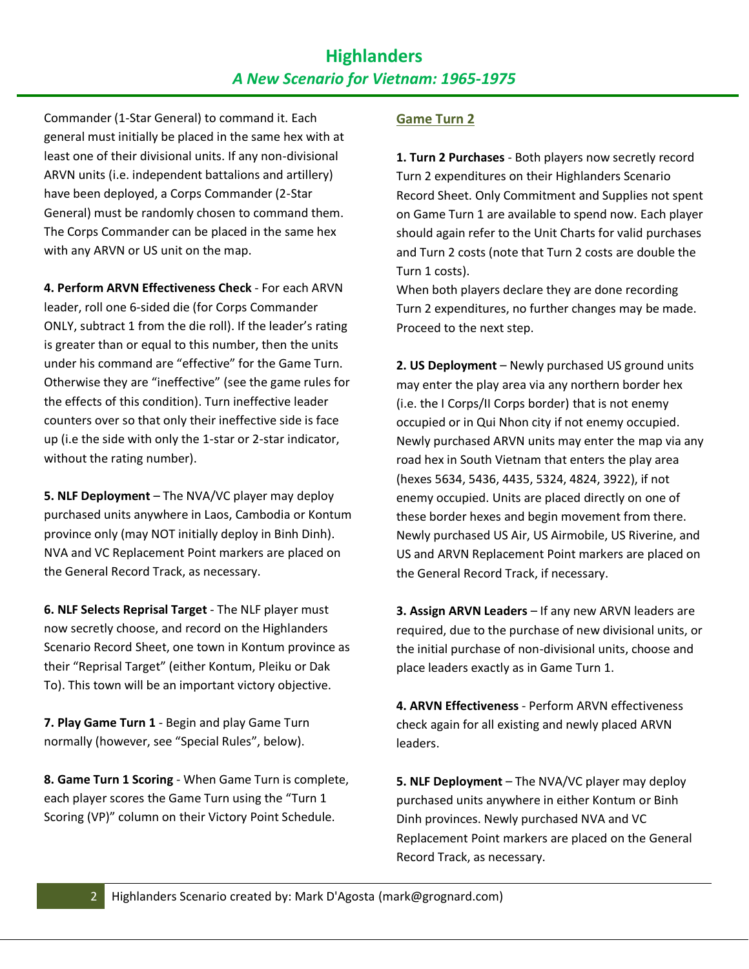# **Highlanders**  *A New Scenario for Vietnam: 1965-1975*

Commander (1-Star General) to command it. Each general must initially be placed in the same hex with at least one of their divisional units. If any non-divisional ARVN units (i.e. independent battalions and artillery) have been deployed, a Corps Commander (2-Star General) must be randomly chosen to command them. The Corps Commander can be placed in the same hex with any ARVN or US unit on the map.

**4. Perform ARVN Effectiveness Check** - For each ARVN leader, roll one 6-sided die (for Corps Commander ONLY, subtract 1 from the die roll). If the leader's rating is greater than or equal to this number, then the units under his command are "effective" for the Game Turn. Otherwise they are "ineffective" (see the game rules for the effects of this condition). Turn ineffective leader counters over so that only their ineffective side is face up (i.e the side with only the 1-star or 2-star indicator, without the rating number).

**5. NLF Deployment** – The NVA/VC player may deploy purchased units anywhere in Laos, Cambodia or Kontum province only (may NOT initially deploy in Binh Dinh). NVA and VC Replacement Point markers are placed on the General Record Track, as necessary.

**6. NLF Selects Reprisal Target** - The NLF player must now secretly choose, and record on the Highlanders Scenario Record Sheet, one town in Kontum province as their "Reprisal Target" (either Kontum, Pleiku or Dak To). This town will be an important victory objective.

**7. Play Game Turn 1** - Begin and play Game Turn normally (however, see "Special Rules", below).

**8. Game Turn 1 Scoring** - When Game Turn is complete, each player scores the Game Turn using the "Turn 1 Scoring (VP)" column on their Victory Point Schedule.

#### **Game Turn 2**

**1. Turn 2 Purchases** - Both players now secretly record Turn 2 expenditures on their Highlanders Scenario Record Sheet. Only Commitment and Supplies not spent on Game Turn 1 are available to spend now. Each player should again refer to the Unit Charts for valid purchases and Turn 2 costs (note that Turn 2 costs are double the Turn 1 costs).

When both players declare they are done recording Turn 2 expenditures, no further changes may be made. Proceed to the next step.

**2. US Deployment** – Newly purchased US ground units may enter the play area via any northern border hex (i.e. the I Corps/II Corps border) that is not enemy occupied or in Qui Nhon city if not enemy occupied. Newly purchased ARVN units may enter the map via any road hex in South Vietnam that enters the play area (hexes 5634, 5436, 4435, 5324, 4824, 3922), if not enemy occupied. Units are placed directly on one of these border hexes and begin movement from there. Newly purchased US Air, US Airmobile, US Riverine, and US and ARVN Replacement Point markers are placed on the General Record Track, if necessary.

**3. Assign ARVN Leaders** – If any new ARVN leaders are required, due to the purchase of new divisional units, or the initial purchase of non-divisional units, choose and place leaders exactly as in Game Turn 1.

**4. ARVN Effectiveness** - Perform ARVN effectiveness check again for all existing and newly placed ARVN leaders.

**5. NLF Deployment** – The NVA/VC player may deploy purchased units anywhere in either Kontum or Binh Dinh provinces. Newly purchased NVA and VC Replacement Point markers are placed on the General Record Track, as necessary.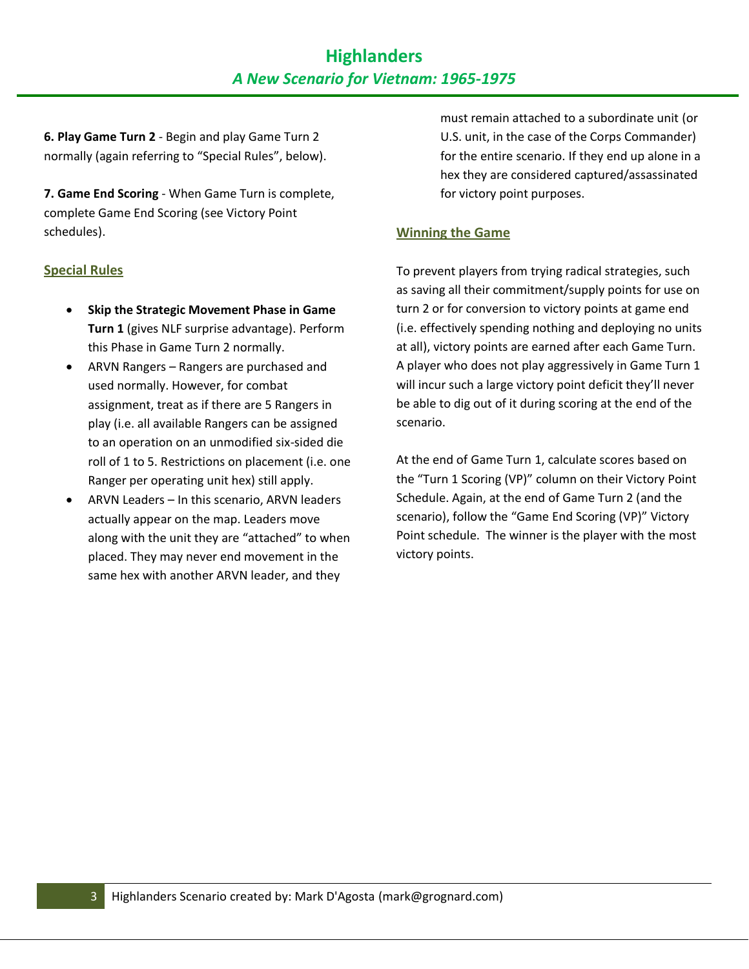**6. Play Game Turn 2** - Begin and play Game Turn 2 normally (again referring to "Special Rules", below).

**7. Game End Scoring** - When Game Turn is complete, complete Game End Scoring (see Victory Point schedules).

#### **Special Rules**

- **Skip the Strategic Movement Phase in Game Turn 1** (gives NLF surprise advantage). Perform this Phase in Game Turn 2 normally.
- ARVN Rangers Rangers are purchased and used normally. However, for combat assignment, treat as if there are 5 Rangers in play (i.e. all available Rangers can be assigned to an operation on an unmodified six-sided die roll of 1 to 5. Restrictions on placement (i.e. one Ranger per operating unit hex) still apply.
- ARVN Leaders In this scenario, ARVN leaders actually appear on the map. Leaders move along with the unit they are "attached" to when placed. They may never end movement in the same hex with another ARVN leader, and they

must remain attached to a subordinate unit (or U.S. unit, in the case of the Corps Commander) for the entire scenario. If they end up alone in a hex they are considered captured/assassinated for victory point purposes.

### **Winning the Game**

To prevent players from trying radical strategies, such as saving all their commitment/supply points for use on turn 2 or for conversion to victory points at game end (i.e. effectively spending nothing and deploying no units at all), victory points are earned after each Game Turn. A player who does not play aggressively in Game Turn 1 will incur such a large victory point deficit they'll never be able to dig out of it during scoring at the end of the scenario.

At the end of Game Turn 1, calculate scores based on the "Turn 1 Scoring (VP)" column on their Victory Point Schedule. Again, at the end of Game Turn 2 (and the scenario), follow the "Game End Scoring (VP)" Victory Point schedule. The winner is the player with the most victory points.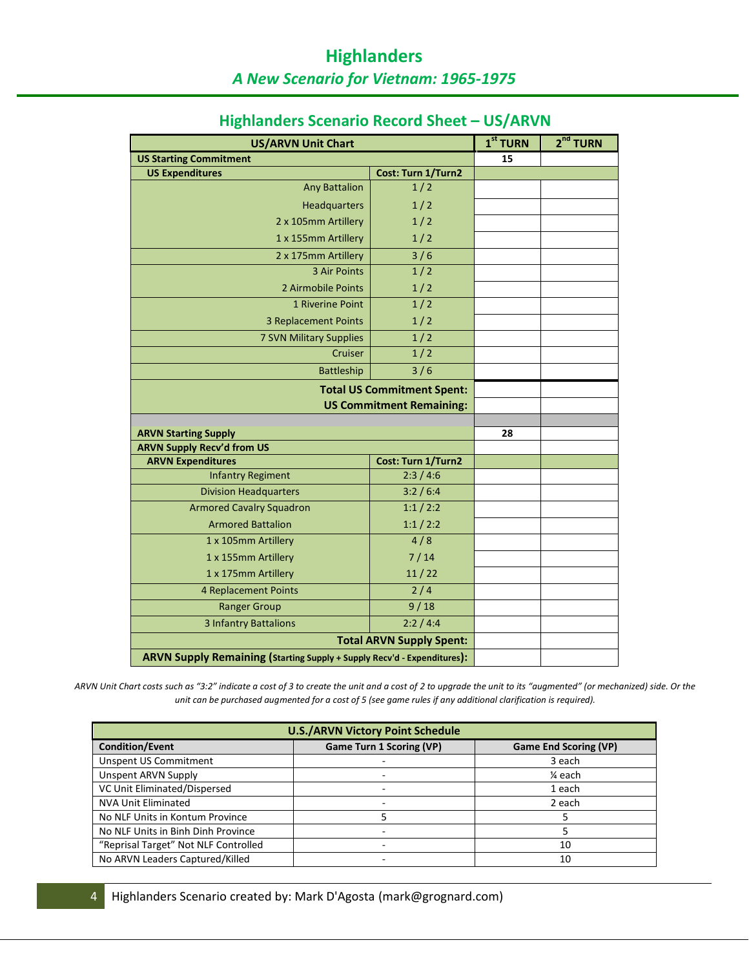| <b>US/ARVN Unit Chart</b>                                                                                                                                                                                                                                      |                                                                                                  | $1st$ TURN | 2 <sup>nd</sup> TURN |
|----------------------------------------------------------------------------------------------------------------------------------------------------------------------------------------------------------------------------------------------------------------|--------------------------------------------------------------------------------------------------|------------|----------------------|
| <b>US Starting Commitment</b>                                                                                                                                                                                                                                  |                                                                                                  | 15         |                      |
| <b>US Expenditures</b>                                                                                                                                                                                                                                         | Cost: Turn 1/Turn2                                                                               |            |                      |
| <b>Any Battalion</b>                                                                                                                                                                                                                                           | 1/2                                                                                              |            |                      |
| <b>Headquarters</b>                                                                                                                                                                                                                                            | 1/2                                                                                              |            |                      |
| 2 x 105mm Artillery                                                                                                                                                                                                                                            | 1/2                                                                                              |            |                      |
| 1 x 155mm Artillery                                                                                                                                                                                                                                            | 1/2                                                                                              |            |                      |
| 2 x 175mm Artillery                                                                                                                                                                                                                                            | 3/6                                                                                              |            |                      |
| 3 Air Points                                                                                                                                                                                                                                                   | 1/2                                                                                              |            |                      |
| 2 Airmobile Points                                                                                                                                                                                                                                             | 1/2                                                                                              |            |                      |
| 1 Riverine Point                                                                                                                                                                                                                                               | 1/2                                                                                              |            |                      |
| <b>3 Replacement Points</b>                                                                                                                                                                                                                                    | $\overline{1/2}$                                                                                 |            |                      |
| 7 SVN Military Supplies                                                                                                                                                                                                                                        | 1/2                                                                                              |            |                      |
| Cruiser                                                                                                                                                                                                                                                        | 1/2                                                                                              |            |                      |
| Battleship                                                                                                                                                                                                                                                     | $3/6$                                                                                            |            |                      |
| <b>Total US Commitment Spent:</b>                                                                                                                                                                                                                              |                                                                                                  |            |                      |
|                                                                                                                                                                                                                                                                | <b>US Commitment Remaining:</b>                                                                  |            |                      |
|                                                                                                                                                                                                                                                                |                                                                                                  |            |                      |
| <b>ARVN Starting Supply</b>                                                                                                                                                                                                                                    |                                                                                                  | 28         |                      |
| <b>ARVN Supply Recv'd from US</b>                                                                                                                                                                                                                              |                                                                                                  |            |                      |
| <b>ARVN Expenditures</b><br><b>Infantry Regiment</b>                                                                                                                                                                                                           | Cost: Turn 1/Turn2<br>2:3/4:6                                                                    |            |                      |
| <b>Division Headquarters</b>                                                                                                                                                                                                                                   | 3:2 / 6:4                                                                                        |            |                      |
| <b>Armored Cavalry Squadron</b>                                                                                                                                                                                                                                | 1:1/2:2                                                                                          |            |                      |
|                                                                                                                                                                                                                                                                |                                                                                                  |            |                      |
|                                                                                                                                                                                                                                                                |                                                                                                  |            |                      |
|                                                                                                                                                                                                                                                                |                                                                                                  |            |                      |
|                                                                                                                                                                                                                                                                |                                                                                                  |            |                      |
|                                                                                                                                                                                                                                                                |                                                                                                  |            |                      |
|                                                                                                                                                                                                                                                                |                                                                                                  |            |                      |
|                                                                                                                                                                                                                                                                |                                                                                                  |            |                      |
|                                                                                                                                                                                                                                                                |                                                                                                  |            |                      |
|                                                                                                                                                                                                                                                                |                                                                                                  |            |                      |
| <b>Armored Battalion</b><br>1 x 105mm Artillery<br>1 x 155mm Artillery<br>1 x 175mm Artillery<br><b>4 Replacement Points</b><br><b>Ranger Group</b><br><b>3 Infantry Battalions</b><br>ARVN Supply Remaining (Starting Supply + Supply Recv'd - Expenditures): | 1:1/2:2<br>4/8<br>$7/14$<br>11/22<br>2/4<br>9/18<br>2:2 / 4:4<br><b>Total ARVN Supply Spent:</b> |            |                      |

# **Highlanders Scenario Record Sheet – US/ARVN**

*ARVN Unit Chart costs such as "3:2" indicate a cost of 3 to create the unit and a cost of 2 to upgrade the unit to its "augmented" (or mechanized) side. Or the unit can be purchased augmented for a cost of 5 (see game rules if any additional clarification is required).* 

| <b>U.S./ARVN Victory Point Schedule</b> |                                 |                              |  |  |
|-----------------------------------------|---------------------------------|------------------------------|--|--|
| <b>Condition/Event</b>                  | <b>Game Turn 1 Scoring (VP)</b> | <b>Game End Scoring (VP)</b> |  |  |
| <b>Unspent US Commitment</b>            |                                 | 3 each                       |  |  |
| Unspent ARVN Supply                     |                                 | ¼ each                       |  |  |
| VC Unit Eliminated/Dispersed            |                                 | 1 each                       |  |  |
| <b>NVA Unit Eliminated</b>              | -                               | 2 each                       |  |  |
| No NLF Units in Kontum Province         |                                 |                              |  |  |
| No NLF Units in Binh Dinh Province      |                                 |                              |  |  |
| "Reprisal Target" Not NLF Controlled    |                                 | 10                           |  |  |
| No ARVN Leaders Captured/Killed         | -                               | 10                           |  |  |